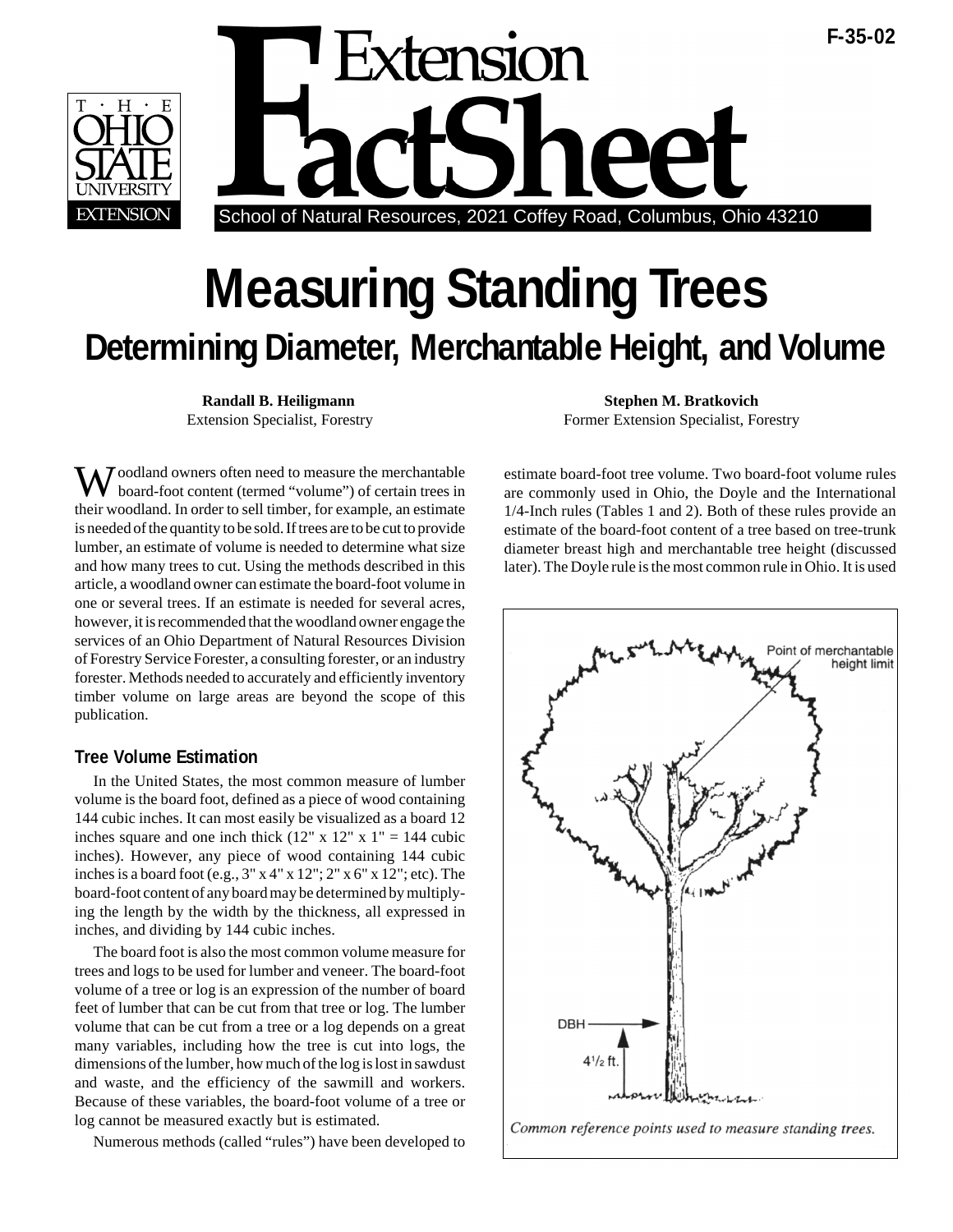



# **Measuring Standing Trees Determining Diameter, Merchantable Height, and Volume**

Woodland owners often need to measure the merchantable board-foot content (termed "volume") of certain trees in their woodland. In order to sell timber, for example, an estimate is needed of the quantity to be sold. If trees are to be cut to provide lumber, an estimate of volume is needed to determine what size and how many trees to cut. Using the methods described in this article, a woodland owner can estimate the board-foot volume in one or several trees. If an estimate is needed for several acres, however, it is recommended that the woodland owner engage the services of an Ohio Department of Natural Resources Division of Forestry Service Forester, a consulting forester, or an industry forester. Methods needed to accurately and efficiently inventory timber volume on large areas are beyond the scope of this publication.

#### **Tree Volume Estimation**

In the United States, the most common measure of lumber volume is the board foot, defined as a piece of wood containing 144 cubic inches. It can most easily be visualized as a board 12 inches square and one inch thick  $(12" \times 12" \times 1" = 144$  cubic inches). However, any piece of wood containing 144 cubic inches is a board foot (e.g.,  $3''$  x  $4''$  x  $12''$ ;  $2''$  x  $6''$  x  $12''$ ; etc). The board-foot content of any board may be determined by multiplying the length by the width by the thickness, all expressed in inches, and dividing by 144 cubic inches.

The board foot is also the most common volume measure for trees and logs to be used for lumber and veneer. The board-foot volume of a tree or log is an expression of the number of board feet of lumber that can be cut from that tree or log. The lumber volume that can be cut from a tree or a log depends on a great many variables, including how the tree is cut into logs, the dimensions of the lumber, how much of the log is lost in sawdust and waste, and the efficiency of the sawmill and workers. Because of these variables, the board-foot volume of a tree or log cannot be measured exactly but is estimated.

Numerous methods (called "rules") have been developed to

**Randall B. Heiligmann Stephen M. Bratkovich** Extension Specialist, Forestry Former Extension Specialist, Forestry

> estimate board-foot tree volume. Two board-foot volume rules are commonly used in Ohio, the Doyle and the International 1/4-Inch rules (Tables 1 and 2). Both of these rules provide an estimate of the board-foot content of a tree based on tree-trunk diameter breast high and merchantable tree height (discussed later). The Doyle rule is the most common rule in Ohio. It is used

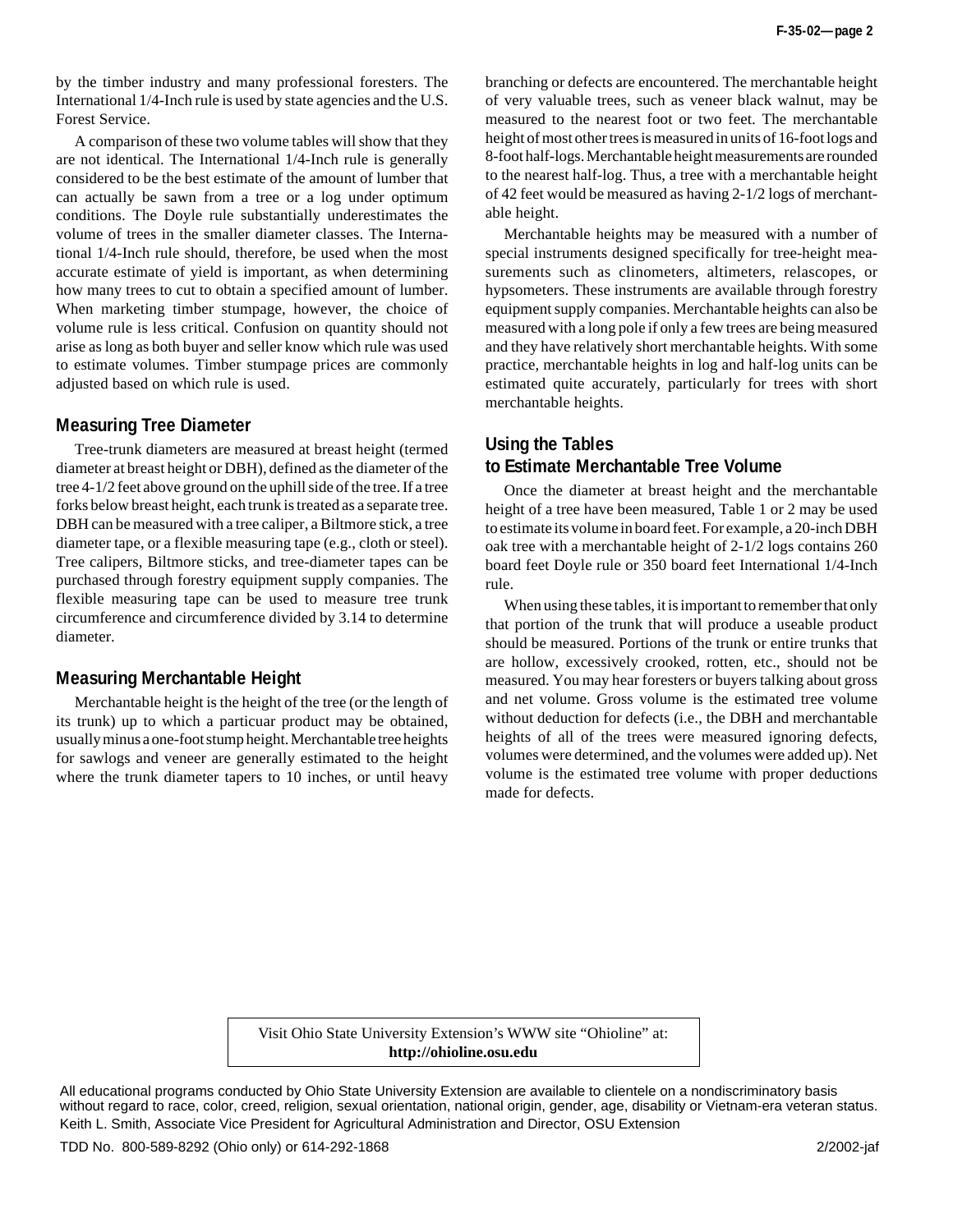by the timber industry and many professional foresters. The International 1/4-Inch rule is used by state agencies and the U.S. Forest Service.

A comparison of these two volume tables will show that they are not identical. The International 1/4-Inch rule is generally considered to be the best estimate of the amount of lumber that can actually be sawn from a tree or a log under optimum conditions. The Doyle rule substantially underestimates the volume of trees in the smaller diameter classes. The International 1/4-Inch rule should, therefore, be used when the most accurate estimate of yield is important, as when determining how many trees to cut to obtain a specified amount of lumber. When marketing timber stumpage, however, the choice of volume rule is less critical. Confusion on quantity should not arise as long as both buyer and seller know which rule was used to estimate volumes. Timber stumpage prices are commonly adjusted based on which rule is used.

#### **Measuring Tree Diameter**

Tree-trunk diameters are measured at breast height (termed diameter at breast height or DBH), defined as the diameter of the tree 4-1/2 feet above ground on the uphill side of the tree. If a tree forks below breast height, each trunk is treated as a separate tree. DBH can be measured with a tree caliper, a Biltmore stick, a tree diameter tape, or a flexible measuring tape (e.g., cloth or steel). Tree calipers, Biltmore sticks, and tree-diameter tapes can be purchased through forestry equipment supply companies. The flexible measuring tape can be used to measure tree trunk circumference and circumference divided by 3.14 to determine diameter.

#### **Measuring Merchantable Height**

Merchantable height is the height of the tree (or the length of its trunk) up to which a particuar product may be obtained, usually minus a one-foot stump height. Merchantable tree heights for sawlogs and veneer are generally estimated to the height where the trunk diameter tapers to 10 inches, or until heavy

branching or defects are encountered. The merchantable height of very valuable trees, such as veneer black walnut, may be measured to the nearest foot or two feet. The merchantable height of most other trees is measured in units of 16-foot logs and 8-foot half-logs. Merchantable height measurements are rounded to the nearest half-log. Thus, a tree with a merchantable height of 42 feet would be measured as having 2-1/2 logs of merchantable height.

Merchantable heights may be measured with a number of special instruments designed specifically for tree-height measurements such as clinometers, altimeters, relascopes, or hypsometers. These instruments are available through forestry equipment supply companies. Merchantable heights can also be measured with a long pole if only a few trees are being measured and they have relatively short merchantable heights. With some practice, merchantable heights in log and half-log units can be estimated quite accurately, particularly for trees with short merchantable heights.

## **Using the Tables to Estimate Merchantable Tree Volume**

Once the diameter at breast height and the merchantable height of a tree have been measured, Table 1 or 2 may be used to estimate its volume in board feet. For example, a 20-inch DBH oak tree with a merchantable height of 2-1/2 logs contains 260 board feet Doyle rule or 350 board feet International 1/4-Inch rule.

When using these tables, it is important to remember that only that portion of the trunk that will produce a useable product should be measured. Portions of the trunk or entire trunks that are hollow, excessively crooked, rotten, etc., should not be measured. You may hear foresters or buyers talking about gross and net volume. Gross volume is the estimated tree volume without deduction for defects (i.e., the DBH and merchantable heights of all of the trees were measured ignoring defects, volumes were determined, and the volumes were added up). Net volume is the estimated tree volume with proper deductions made for defects.

Visit Ohio State University Extension's WWW site "Ohioline" at: **http://ohioline.osu.edu**

All educational programs conducted by Ohio State University Extension are available to clientele on a nondiscriminatory basis without regard to race, color, creed, religion, sexual orientation, national origin, gender, age, disability or Vietnam-era veteran status. Keith L. Smith, Associate Vice President for Agricultural Administration and Director, OSU Extension